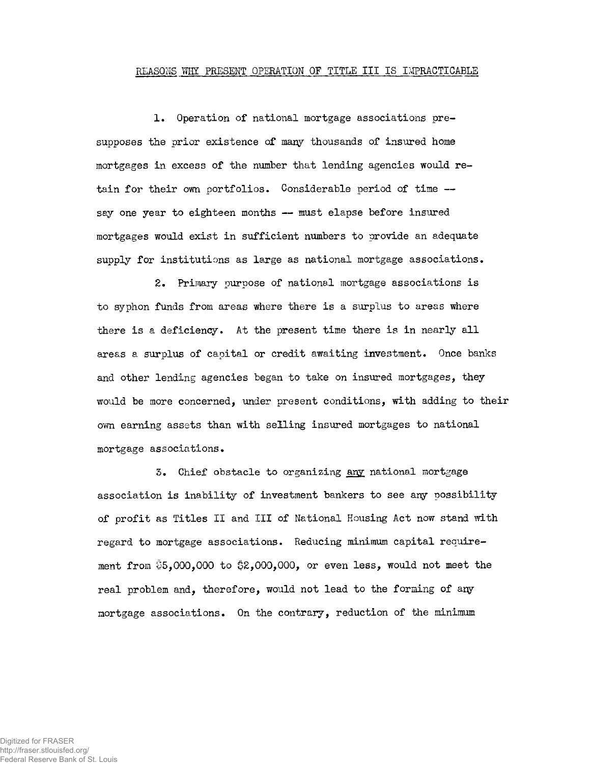## REASONS WHY PRESENT OPERATION OF TITLE III IS IMPRACTICABLE

1. Operation of national mortgage associations presupposes the prior existence of many thousands of insured home mortgages in excess of the number that lending agencies would retain for their own portfolios. Considerable period of time  $$ say one year to eighteen months — must elapse before insured mortgages would exist in sufficient numbers to provide an adequate supply for institutions as large as national mortgage associations.

2. Primary purpose of national mortgage associations is to syphon funds from areas where there is a surplus to areas where there is a deficiency. At the present time there is in nearly all areas a surplus of capital or credit awaiting investment. Once banks and other lending agencies began to take on insured mortgages, they would be more concerned, under present conditions, with adding to their own earning assets than with selling insured mortgages to national mortgage associations.

3. Chief obstacle to organizing any national mortgage association is inability of investment bankers to see any possibility of profit as Titles II and III of National Housing Act now stand with regard to mortgage associations. Reducing minimum capital requirement from  $$5,000,000$  to  $$2,000,000$ , or even less, would not meet the real problem and, therefore, would not lead to the forming of any mortgage associations. On the contrary, reduction of the minimum